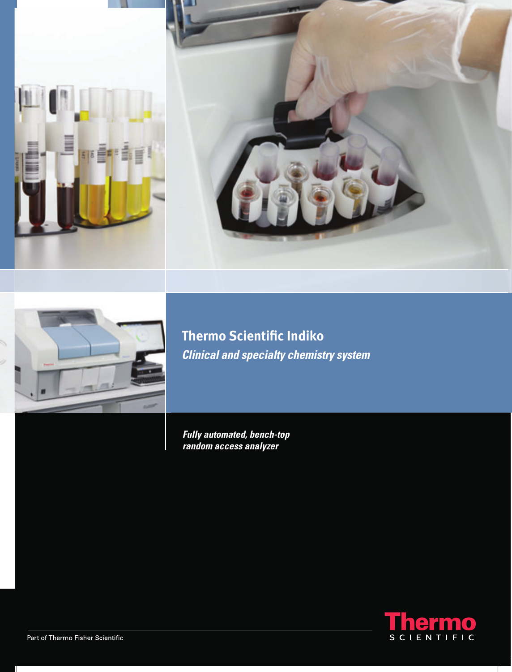





**Thermo Scientific Indiko Clinical and specialty chemistry system** 

**Fully automated, bench-top<br>random access analyzer** 

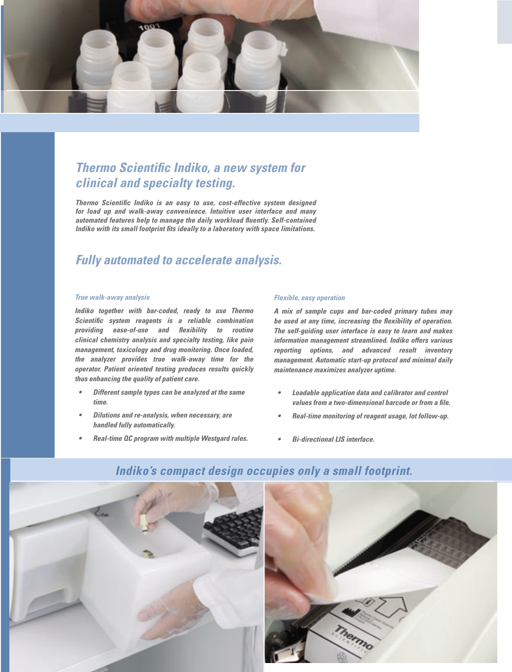

# **Thermo Scientific Indiko, a new system for** *clinical and specialty testing.*

**Thermo Scientific Indiko is an easy to use, cost-effective system designed** *for load up and walk-away convenience. Intuitive user interface and many*  automated features help to manage the daily workload fluently. Self-contained *Indiko with its small footprint fits ideally to a laboratory with space limitations.* 

## *Fully automated to accelerate analysis.*

#### *True walk-away analysis*

*Indiko together with bar-coded, ready to use Thermo Scientifi c system reagents is a reliable combination providing ease-of-use and flexibility to routine clinical chemistry analysis and specialty testing, like pain management, toxicology and drug monitoring. Once loaded, the analyzer provides true walk-away time for the operator. Patient oriented testing produces results quickly thus enhancing the quality of patient care.* 

- *Different sample types can be analyzed at the same time.*
- *Dilutions and re-analysis, when necessary, are handled fully automatically.*
- *Real-time QC program with multiple Westgard rules.*

#### *Flexible, easy operation*

*A mix of sample cups and bar-coded primary tubes may*  be used at any time, increasing the flexibility of operation. *The self-guiding user interface is easy to learn and makes information management streamlined. Indiko offers various reporting options, and advanced result inventory management. Automatic start-up protocol and minimal daily maintenance maximizes analyzer uptime.* 

- *Loadable application data and calibrator and control*  values from a two-dimensional barcode or from a file.
- *Real-time monitoring of reagent usage, lot follow-up.*
- *Bi-directional LIS interface.*



# *Indiko's compact design occupies only a small footprint.*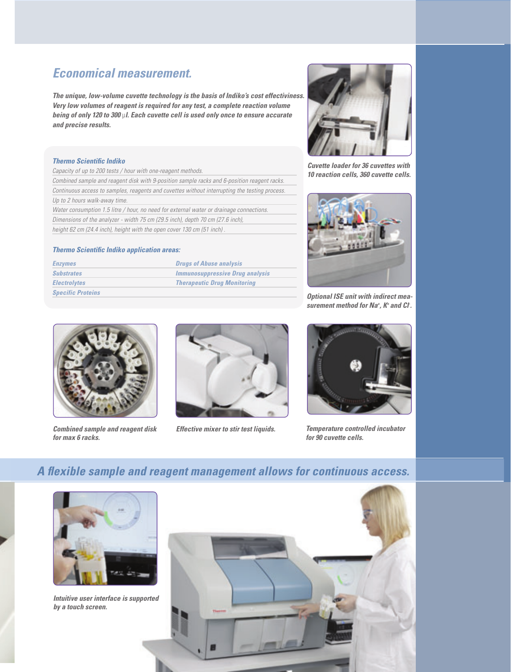# *Economical measurement.*

*The unique, low-volume cuvette technology is the basis of Indiko's cost effectiviness. Very low volumes of reagent is required for any test, a complete reaction volume being of only 120 to 300* µ*l. Each cuvette cell is used only once to ensure accurate and precise results.*

## *Thermo Scientific Indiko*

*Capacity of up to 200 tests / hour with one-reagent methods. Combined sample and reagent disk with 9-position sample racks and 6-position reagent racks. Continuous access to samples, reagents and cuvettes without interrupting the testing process. Up to 2 hours walk-away time. Water consumption 1.5 litre / hour, no need for external water or drainage connections. Dimensions of the analyzer - width 75 cm (29.5 inch), depth 70 cm (27.6 inch), height 62 cm (24.4 inch), height with the open cover 130 cm (51 inch) .*

### **Thermo Scientific Indiko application areas:**

| <b>Enzymes</b>           | <b>Drugs of Abuse analysis</b>         |
|--------------------------|----------------------------------------|
| <b>Substrates</b>        | <b>Immunosuppressive Drug analysis</b> |
| <b>Electrolytes</b>      | <b>Therapeutic Drug Monitoring</b>     |
| <b>Specific Proteins</b> |                                        |



*Combined sample and reagent disk for max 6 racks.*



*Effective mixer to stir test liquids.*



*Cuvette loader for 36 cuvettes with 10 reaction cells, 360 cuvette cells.*



*Optional ISE unit with indirect measurement method for Na+ , K+ and Cl- .*



*Temperature controlled incubator for 90 cuvette cells.*

## A flexible sample and reagent management allows for continuous access.



*Intuitive user interface is supported by a touch screen.*